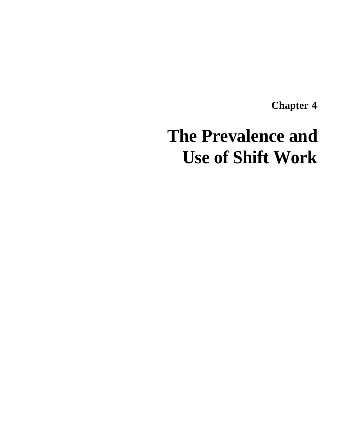**Chapter 4**

# **The Prevalence and Use of Shift Work**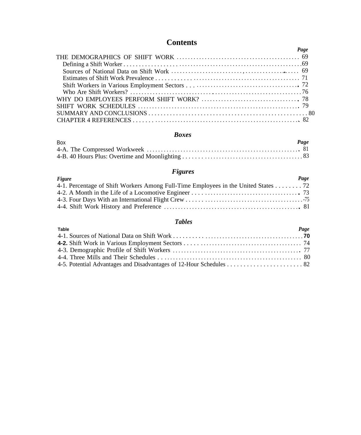# **Contents**

# *Boxes*

| <b>Box</b> | Page |
|------------|------|
|            |      |
|            |      |

# *Figures*

| Figure                                                                             | Page |
|------------------------------------------------------------------------------------|------|
| 4-1. Percentage of Shift Workers Among Full-Time Employees in the United States 72 |      |
|                                                                                    |      |
|                                                                                    |      |
|                                                                                    |      |

# *Tables*

| Table | Page |
|-------|------|
|       |      |
|       |      |
|       |      |
|       |      |
|       |      |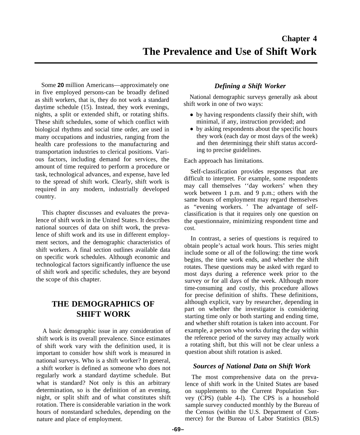Some **20** million Americans—approximately one in five employed persons-can be broadly defined as shift workers, that is, they do not work a standard daytime schedule (15). Instead, they work evenings, nights, a split or extended shift, or rotating shifts. These shift schedules, some of which conflict with biological rhythms and social time order, are used in many occupations and industries, ranging from the health care professions to the manufacturing and transportation industries to clerical positions. Various factors, including demand for services, the amount of time required to perform a procedure or task, technological advances, and expense, have led to the spread of shift work. Clearly, shift work is required in any modern, industrially developed country.

This chapter discusses and evaluates the prevalence of shift work in the United States. It describes national sources of data on shift work, the prevalence of shift work and its use in different employment sectors, and the demographic characteristics of shift workers. A final section outlines available data on specific work schedules. Although economic and technological factors significantly influence the use of shift work and specific schedules, they are beyond the scope of this chapter.

# **THE DEMOGRAPHICS OF SHIFT WORK**

A basic demographic issue in any consideration of shift work is its overall prevalence. Since estimates of shift work vary with the definition used, it is important to consider how shift work is measured in national surveys. Who is a shift worker? In general, a shift worker is defined as someone who does not regularly work a standard daytime schedule. But what is standard? Not only is this an arbitrary determination, so is the definition of an evening, night, or split shift and of what constitutes shift rotation. There is considerable variation in the work hours of nonstandard schedules, depending on the nature and place of employment.

# *Defining a Shift Worker*

National demographic surveys generally ask about shift work in one of two ways:

- by having respondents classify their shift, with minimal, if any, instruction provided; and
- by asking respondents about the specific hours they work (each day or most days of the week) and then determiningg their shift status according to precise guidelines.

Each approach has limitations.

Self-classification provides responses that are difficult to interpret. For example, some respondents may call themselves ''day workers' when they work between 1 p.m. and 9 p.m.; others with the same hours of employment may regard themselves as "evening workers. ' The advantage of selfclassification is that it requires only one question on the questionnaire, minimizing respondent time and cost.

In contrast, a series of questions is required to obtain people's actual work hours. This series might include some or all of the following: the time work begins, the time work ends, and whether the shift rotates. These questions may be asked with regard to most days during a reference week prior to the survey or for all days of the week. Although more time-consuming and costly, this procedure allows for precise definition of shifts. These definitions, although explicit, vary by researcher, depending in part on whether the investigator is considering starting time only or both starting and ending time, and whether shift rotation is taken into account. For example, a person who works during the day within the reference period of the survey may actually work a rotating shift, but this will not be clear unless a question about shift rotation is asked.

## *Sources of National Data on Shift Work*

The most comprehensive data on the prevalence of shift work in the United States are based on supplements to the Current Population Survey (CPS) (table 4-l). The CPS is a household sample survey conducted monthly by the Bureau of the Census (within the U.S. Department of Commerce) for the Bureau of Labor Statistics (BLS)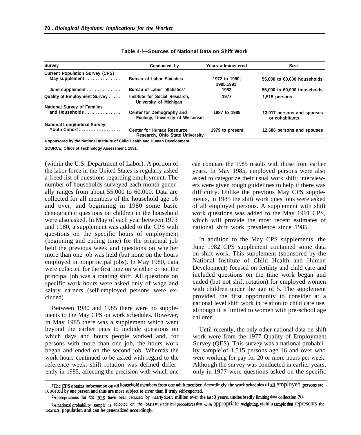| <b>Survey</b>                          | Conducted by                                                        |                            | <b>Size</b>                                  |
|----------------------------------------|---------------------------------------------------------------------|----------------------------|----------------------------------------------|
| <b>Current Population Survey (CPS)</b> |                                                                     |                            |                                              |
| May supplement                         | <b>Bureau of Labor Statistics</b>                                   | 1972 to 1980:<br>1985,1991 | 55,000 to 60,000 households                  |
| June supplement                        | Bureau of Labor Statistics <sup>®</sup>                             | 1982                       | 55,000 to 60,000 households                  |
| Quality of Employment Survey           | Institute for Social Research.<br>University of Michigan            | 1977                       | 1,515 persons                                |
| <b>National Survey of Families</b>     |                                                                     |                            |                                              |
| and Households                         | Center for Demography and<br>Ecology, University of Wisconsin       | 1987 to 1988               | 13,017 persons and spouses<br>or cohabitants |
| <b>National Longitudinal Survey,</b>   |                                                                     |                            |                                              |
| Youth Cohort                           | <b>Center for Human Resource</b><br>Research, Ohio State University | 1979 to present            | 12,686 persons and spouses                   |

#### **Table 4-l—Sources of National Data on Shift Work**

**a sponsored by the National Institute of Child Health and Human Development.**

**SOURCE: Office of Technology Assessment, 1991.**

(within the U.S. Department of Labor). A portion of the labor force in the United States is regularly asked a freed list of questions regarding employment. The number of households surveyed each month generally ranges from about 55,000 to 60,000. Data are collected for all members of the household age 16 and over, and beginning in 1980 some basic demographic questions on children in the household were also asked. In May of each year between 1973 and 1980, a supplement was added to the CPS with questions on the specific hours of employment (beginning and ending time) for the principal job held the previous week and questions on whether more than one job was held (but none on the hours employed in nonprincipal jobs). In May 1980, data were collected for the first time on whether or not the principal job was a rotating shift. All questions on specific work hours were asked only of wage and salary earners (self-employed persons were excluded).

Between 1980 and 1985 there were no supplements to the May CPS on work schedules. However, in May 1985 there was a supplement which went beyond the earlier ones to include questions on which days and hours people worked and, for persons with more than one job, the hours work began and ended on the second job. Whereas the work hours continued to be asked with regard to the reference week, shift rotation was defined differently in 1985, affecting the precision with which one can compare the 1985 results with those from earlier years. In May 1985, employed persons were also asked to categorize their usual work shift; interviewers were given rough guidelines to help if there was  $difficulty$ .<sup>1</sup> Unlike the previous May CPS supplements, in 1985 the shift work questions were asked of all employed persons. A supplement with shift work questions was added to the May 1991 CPS, which will provide the most recent estimates of national shift work prevalence since 1985.<sup>2</sup>

In addition to the May CPS supplements, the June 1982 CPS supplement contained some data on shift work. This supplement (sponsored by the National Institute of Child Health and Human Development) focused on fertility and child care and included questions on the time work began and ended (but not shift rotation) for employed women with children under the age of 5. The supplement provided the first opportunity to consider at a national level shift work in relation to child care use, although it is limited to women with pre-school age children.

Until recently, the only other national data on shift work were from the 1977 Quality of Employment Survey (QES). This survey was a national probability sample<sup>3</sup> of 1,515 persons age 16 and over who were working for pay for 20 or more hours per week. Although the survey was conducted in earlier years, only in 1977 were questions asked on the specific

<sup>&</sup>lt;sup>1</sup>The CPS obtains information on all household members from one adult member. Accordingly, the work schedules of all employed persons are reported **by one person and thus are more subject to error than if truly self-reported.**

<sup>&</sup>lt;sup>2</sup>Appropriations for the BLS have been reduced by nearly \$14.5 million over the last 3 years, undoubtedly limiting data collection (9).

<sup>&</sup>lt;sup>3</sup>A national probability sample is selected on the basis of statistical procedures that, with appropriate weighting, yield a sample that represents the **total U.S. population and can be generalized accordingly.**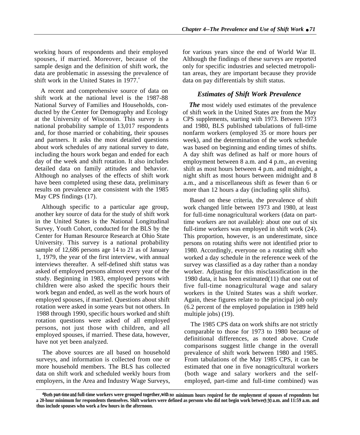working hours of respondents and their employed spouses, if married. Moreover, because of the sample design and the definition of shift work, the data are problematic in assessing the prevalence of shift work in the United States in 1977.<sup>4</sup>

A recent and comprehensive source of data on shift work at the national level is the 1987-88 National Survey of Families and Households, conducted by the Center for Demography and Ecology at the University of Wisconsin. This survey is a national probability sample of 13,017 respondents and, for those married or cohabiting, their spouses and partners. It asks the most detailed questions about work schedules of any national survey to date, including the hours work began and ended for each day of the week and shift rotation. It also includes detailed data on family attitudes and behavior. Although no analyses of the effects of shift work have been completed using these data, preliminary results on prevalence are consistent with the 1985 May CPS findings (17).

Although specific to a particular age group, another key source of data for the study of shift work in the United States is the National Longitudinal Survey, Youth Cohort, conducted for the BLS by the Center for Human Resource Research at Ohio State University. This survey is a national probability sample of 12,686 persons age 14 to 21 as of January 1, 1979, the year of the first interview, with annual interviews thereafter. A self-defined shift status was asked of employed persons almost every year of the study. Beginning in 1983, employed persons with children were also asked the specific hours their work began and ended, as well as the work hours of employed spouses, if married. Questions about shift rotation were asked in some years but not others. In 1988 through 1990, specific hours worked and shift rotation questions were asked of all employed persons, not just those with children, and all employed spouses, if married. These data, however, have not yet been analyzed.

The above sources are all based on household surveys, and information is collected from one or more household members. The BLS has collected data on shift work and scheduled weekly hours from employers, in the Area and Industry Wage Surveys,

for various years since the end of World War II. Although the findings of these surveys are reported only for specific industries and selected metropolitan areas, they are important because they provide data on pay differentials by shift status.

## *Estimates of Shift Work Prevalence*

*The* most widely used estimates of the prevalence of shift work in the United States are from the May CPS supplements, starting with 1973. Between 1973 and 1980, BLS published tabulations of full-time nonfarm workers (employed 35 or more hours per week), and the determination of the work schedule was based on beginning and ending times of shifts. A day shift was defined as half or more hours of employment between 8 a.m. and 4 p.m., an evening shift as most hours between 4 p.m. and midnight, a night shift as most hours between midnight and 8 a.m., and a miscellaneous shift as fewer than 6 or more than 12 hours a day (including split shifts).

Based on these criteria, the prevalence of shift work changed little between 1973 and 1980, at least for full-time nonagricultural workers (data on parttime workers are not available): about one out of six full-time workers was employed in shift work (24). This proportion, however, is an underestimate, since persons on rotating shifts were not identified prior to 1980. Accordingly, everyone on a rotating shift who worked a day schedule in the reference week of the survey was classified as a day rather than a nonday worker. Adjusting for this misclassification in the 1980 data, it has been estimated(11) that one out of five full-time nonagricultural wage and salary workers in the United States was a shift worker. Again, these figures relate to the principal job only (6.2 percent of the employed population in 1989 held multiple jobs) (19).

The 1985 CPS data on work shifts are not strictly comparable to those for 1973 to 1980 because of definitional differences, as noted above. Crude comparisons suggest little change in the overall prevalence of shift work between 1980 and 1985. From tabulations of the May 1985 CPS, it can be estimated that one in five nonagricultural workers (both wage and salary workers and the selfemployed, part-time and full-time combined) was

**<sup>@</sup>oth** part-time and **full-time workers were grouped together, with no minimum hours required for the employment of spouses of respondents but** a 20-hour minimum for respondents themselves. Shift workers were defined as persons who did not begin work betwe $\epsilon$ 3:30 a.m. and 11:59 a.m. and **thus include spouses who work a few hours in the afternoon.**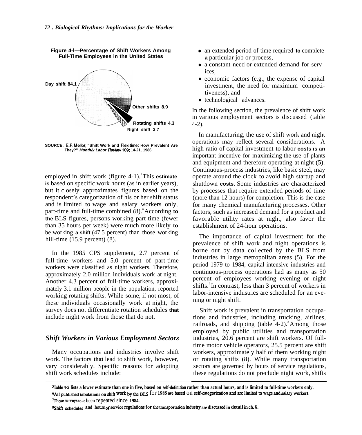**Figure 4-l—Percentage of Shift Workers Among Full-Time Employees in the United States**



**SOURCE: E.F. Mellor, "Shift Work and Flexitime: How Prevalent Are They?" Month/y Labor /?eview109: 14-21, 1986.**

employed in shift work (figure 4-1).<sup>5</sup>This **estimate is** based on specific work hours (as in earlier years), but it closely approximates figures based on the respondent's categorization of his or her shift status and is limited to wage and salary workers only, part-time and full-time combined  $(8)$ . According **to the** BLS figures, persons working part-time (fewer than 35 hours per week) were much more likely **to** be working **a shift** (47.5 percent) than those working hill-time (15.9 percent) (8).

In the 1985 CPS supplement, 2.7 percent of full-time workers and 5.0 percent of part-time workers were classified as night workers. Therefore, approximately 2.0 million individuals work at night. Another 4.3 percent of full-time workers, approximately 3.1 million people in the population, reported working rotating shifts. While some, if not most, of these individuals occasionally work at night, the survey does not differentiate rotation schedules **that** include night work from those that do not.

## *Shift Workers in Various Employment Sectors*

Many occupations and industries involve shift work. The factors **that** lead to shift work, however, vary considerably. Specific reasons for adopting shift work schedules include:

- an extended period of time required **to** complete **a** particular job or process,
- $\bullet$ a constant need or extended demand for services,
- economic factors (e.g., the expense of capital investment, the need for maximum competitiveness), and
- technological advances.

In the following section, the prevalence of shift work in various employment sectors is discussed (table 4-2).

In manufacturing, the use of shift work and night operations may reflect several considerations. A high ratio of capital investment to labor **costs is an** important incentive for maximizing the use of plants and equipment and therefore operating at night (5). Continuous-process industries, like basic steel, may operate around the clock to avoid high startup and shutdown **costs.** Some industries are characterized by processes that require extended periods of time (more than 12 hours) for completion. This is the case for many chemical manufacturing processes. Other factors, such as increased demand for a product and favorable utility rates at night, also favor the establishment of 24-hour operations.

The importance of capital investment for the prevalence of shift work and night operations is borne out by data collected by the BLS from industries in large metropolitan areas (5). For the period 1979 to 1984, capital-intensive industries and continuous-process operations had as many as 50 percent of employees working evening or night shifts.<sup>7</sup>In contrast, less than 3 percent of workers in labor-intensive industries are scheduled for an evening or night shift.

Shift work is prevalent in transportation occupations and industries, including trucking, airlines, railroads, and shipping (table  $4-2$ ).<sup>8</sup>Among those employed by public utilities and transportation industries, 20.6 percent are shift workers. Of fulltime motor vehicle operators, 25.5 percent are shift workers, approximately half of them working night or rotating shifts (8). While many transportation sectors are governed by hours of service regulations, these regulations do not preclude night work, shifts

<sup>%</sup>ble **4-2 lists a lower estimate than one in five, based on self-deftition rather than actual hours, and is limited to full-time workers only.** <sup>6</sup>All published tabulations on shift work by the BLS for 1985 are based on self-categorization and are limited to wage and salary workers. <sup>7</sup>These surveys have been repeated since 1984.

**<sup>8</sup>shift .s~hed~es and how of ~mice re@atiom for tie ~~ortation industry ~ discussed in detail in ch. 6.**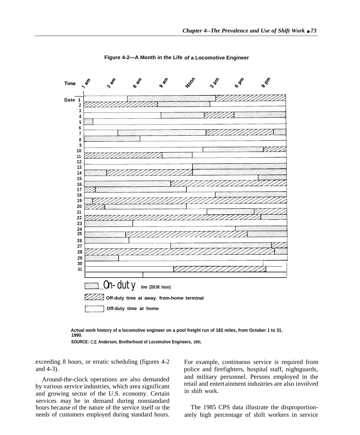

**Figure 4-2—A Month in the Life of a Locomotive Engineer**



**SOURCE: C.E. Anderson, Brotherhood of Locomotive Engineers, 1991.**

exceeding 8 hours, or erratic scheduling (figures 4-2 For example, continuous service is required from

by various service industries, which area significant retail and entertail and entertail and crowing aceter of the  $IIS$  according contains in shift work. and growing sector of the U.S. economy. Certain services may be in demand during nonstandard hours because of the nature of the service itself or the The 1985 CPS data illustrate the disproportion-

and 4-3). police and firefighters, hospital staff, nightguards, Around-the-clock operations are also demanded and military personnel. Persons employed in the retail and entertainment industries are also involved

needs of customers employed during standard hours. ately high percentage of shift workers in service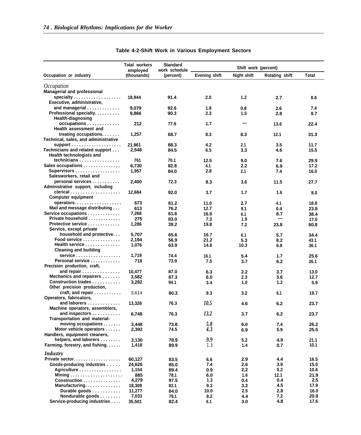|                                                                     | Total workers<br>employed | <b>Standard</b><br>work schedule |                      | Shift work (percent) |                       |              |
|---------------------------------------------------------------------|---------------------------|----------------------------------|----------------------|----------------------|-----------------------|--------------|
| Occupation or industry                                              | (thousands)               | (percent)                        | <b>Evening shift</b> | <b>Night shift</b>   | <b>Rotating shift</b> | Total        |
|                                                                     |                           |                                  |                      |                      |                       |              |
| <i>Occupation</i><br><b>Managerial and professional</b>             |                           |                                  |                      |                      |                       |              |
|                                                                     | 18,944                    | 91.4                             | 2.0                  | 1.2                  | 2.7                   | 8.6          |
| Executive, administrative,                                          |                           |                                  |                      |                      |                       |              |
| and managerial $\ldots \ldots \ldots \ldots$                        | 9,079                     | 92.6                             | 1.8                  | 0.8                  | 2.6                   | 7.4          |
| Professional specialty.                                             | 9,866                     | 90.3                             | 2.3                  | 1.5                  | 2.8                   | 9.7          |
| <b>Health-diagnosing</b>                                            |                           |                                  |                      |                      |                       |              |
| occupations<br>Health assessment and                                | 212                       | 77.6                             | 1.7                  |                      | 13.6                  | 22.4         |
| treating occupations.<br>Technical, sales, and administrative       | 1,257                     | 68.7                             | 8.3                  | 8.3                  | 12.1                  | 31.3         |
|                                                                     | 21,961                    | 88.3                             | 4.2                  | 2.1                  | 3.5                   | 11.7         |
| Technicians and related support<br>Health technologists and         | 2,548                     | 84.5                             | 6.5                  | 3.3                  | 4.6                   | 15.5         |
| technicians                                                         | 761                       | 70.1                             | 12.5                 | 9.0                  | 7.6                   | 29.9         |
| Sales occupations                                                   | 6,730                     | 82.8                             | 4.1                  | 2.2                  | 6.9                   | 17.2         |
| Supervisors<br>Salesworkers, retail and                             | 1,957                     | 84.0                             | 2.8                  | 2.1                  | 7.4                   | 16.0         |
| personal services<br>Administrative support, including              | 2,400                     | 72.3                             | 8.3                  | 3.6                  | 11.5                  | 27.7         |
| <b>Computer equipment</b>                                           | 12,684                    | 92.0                             | 3.7                  | 1.7                  | 1.6                   | 8.0          |
| operators                                                           | 673                       | 81.2                             | 11.0                 | 2.7                  | 4.1                   | 18.8         |
| Mail and message distributing                                       | 613                       | 76.2                             | 12.7                 | 9.1                  | 0.4                   | 23.8         |
| Service occupations                                                 | 7,268                     | 61.6                             | 16.9                 | 6.1                  | 8.7                   | 38.4         |
| Private household<br>Protective service                             | 275                       | 83.0                             | 7.3                  | 1.9                  |                       | 17.0         |
| Service, except private                                             | 1,286                     | 39.2                             | 19.8                 | 7.2                  | 23.8                  | 60.8         |
| household and protective                                            | 5,707                     | 65.6                             | 16.7                 | 6.1                  | 5.7                   | 34.4         |
| Food service<br>Health service                                      | 2,194                     | 56.9                             | 21.2                 | 5.3                  | 8.2                   | 43.1         |
| <b>Cleaning and building</b>                                        | 1,076                     | 63.9                             | 14.8                 | 10.3                 | 6.8                   | 36.1         |
| service                                                             | 1,719                     | 74.4                             | 16.1                 | 5.4                  | 1.7                   | 25.6         |
| Personal service                                                    | 718                       | 73.9                             | 7.5                  | 3.7                  | 6.2                   | 26.1         |
| Precision production, craft,                                        |                           |                                  |                      |                      |                       |              |
| and repair                                                          | 10,477                    | 87.0                             | 6.3                  | 2.2                  | 3.7                   | 13.0         |
| Mechanics and repairers                                             | 3,582                     | 87.3                             | 6.0                  | 2.3                  | 3.6                   | 12.7         |
| Construction trades                                                 | 3,282                     | 94.1                             | 3.4                  | 1.0                  | 1.2                   | 5.9          |
| Other precision production,                                         |                           |                                  |                      |                      |                       |              |
| $craft, and repair \ldots \ldots \ldots$<br>Operators, fabricators, | 3,614                     | 80.3                             | 9.3                  | 3.2                  | 6.1                   | 19.7         |
| and laborers                                                        | 13,326                    | 76.3                             | 10.5                 | 4.6                  | 6.2                   | 23.7         |
| Machine operators, assemblers,                                      |                           |                                  |                      |                      |                       |              |
| and inspectors<br>Transportation and material-                      | 6,748                     | 76.3                             | 13.2                 | 3.7                  | 6.2                   | 23.7         |
| moving occupations                                                  | 3,448                     | 73.8                             | 5.8                  | $6.0\,$              | 7.4                   | 26.2         |
| Motor vehicle operators                                             | 2,392                     | 74.5                             | 4.3                  | 6.9                  | 5.9                   | 25.5         |
| Handlers, equipment cleaners,                                       |                           |                                  |                      |                      |                       |              |
| helpers, and laborers                                               | 3,130                     | 78.9                             | 9.9                  | 5.2                  | 4.9                   | 21.1         |
| Farming, forestry, and fishing.                                     | 1,418                     | 89.9                             | 1.5                  | 1.4                  | 0.7                   | 10.1         |
| Industry                                                            |                           |                                  |                      |                      |                       |              |
| Private sector                                                      | 60,127                    | 83.5                             | 6.6                  | 2.9                  | 4.4                   | 16.5         |
| Goods-producing industries                                          | 24,626                    | 85.0                             | 7.4                  | 2.6                  | 3.9                   | 15.0         |
| Agriculture                                                         | 1,154                     | 89.4                             | 0.9                  | 2,2                  | 0.2                   | 10.6         |
| Mining                                                              | 885                       | 78.1                             | 6.0                  | 1.6                  | 12.1                  | 21.9         |
| Construction                                                        | 4,279                     | 97.5                             | 1.3                  | 0.4                  | 0.4                   | 2.5          |
| Manufacturing<br>Durable goods                                      | 18,309<br>11,277          | 82.1                             | 9.3<br>10.0          | 3.2<br>2.5           | 4.5<br>2.8            | 17.9<br>16.0 |
| Nondurable goods                                                    | 7,033                     | 84.0<br>79.1                     | 8.2                  | 4.4                  | 7.2                   | 20.9         |
| Service-producing industries                                        | 35,501                    | 82.4                             | 6.1                  | 3.0                  | 4.8                   | 17.6         |

# **Table 4-2-Shift Work in Various Employment Sectors**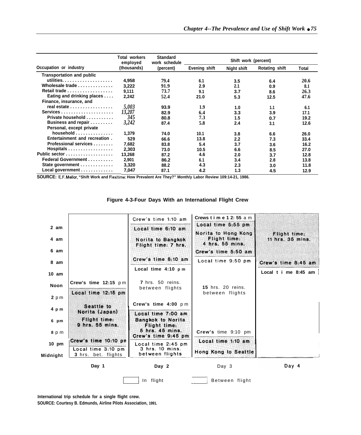|                                  | Total workers<br><b>Standard</b><br>work schedule<br>employed |           | Shift work (percent) |             |                       |       |
|----------------------------------|---------------------------------------------------------------|-----------|----------------------|-------------|-----------------------|-------|
| Occupation or industry           | (thousands)                                                   | (percent) | Evening shift        | Night shift | <b>Rotating shift</b> | Total |
| <b>Transportation and public</b> |                                                               |           |                      |             |                       |       |
|                                  | 4,958                                                         | 79.4      | 6.1                  | 3.5         | 6.4                   | 20.6  |
| Wholesale trade                  | 3.222                                                         | 91.9      | 2.9                  | 2.1         | 0.9                   | 8.1   |
| Retail trade                     | 9.111                                                         | 73.7      | 9.1                  | 3.7         | 8.6                   | 26.3  |
| Eating and drinking places       | 2,242                                                         | 52.4      | 21.0                 | 5.3         | 12.5                  | 47.6  |
| Finance, insurance, and          |                                                               |           |                      |             |                       |       |
| real estate                      | 5,003                                                         | 93.9      | 1.9                  | 1.0         | 1.1                   | 6.1   |
| Services                         | 13,207                                                        | 82.9      | 6.4                  | 3.3         | 3.9                   | 17.1  |
| Private household                | 345                                                           | 80.8      | 7.3                  | 1.5         | 0.7                   | 19.2  |
| Business and repair              | 3,242                                                         | 87.4      | 5.8                  | 2.4         | 3.1                   | 12.6  |
| Personal, except private         |                                                               |           |                      |             |                       |       |
| household                        | 1,379                                                         | 74.0      | 10.1                 | 3.8         | 6.6                   | 26.0  |
| Entertainment and recreation.    | 529                                                           | 66.6      | 13.8                 | 2.2         | 7.3                   | 33.4  |
| Professional services            | 7,682                                                         | 83.8      | 5.4                  | 3.7         | 3.6                   | 16.2  |
| Hospitals                        | 2.303                                                         | 73.0      | 10.5                 | 6.6         | 8.5                   | 27.0  |
| Public sector                    | 13,268                                                        | 87.2      | 4.6                  | 2.0         | 3.7                   | 12.8  |
| Federal Government               | 2,901                                                         | 86.2      | 6.1                  | 3.4         | 2.8                   | 13.8  |
| State government                 | 3.320                                                         | 88.2      | 4.3                  | 2.3         | 3.0                   | 11.8  |
| Local government                 | 7,047                                                         | 87.1      | 4.2                  | 1.3         | 4.5                   | 12.9  |

**SOURCE: E.F. Mellor, "Shift Work and Flexitime: How Prevalent Are They?" Month/y Labor Review 109:14-21, 1986.**



#### **Figure 4-3-Four Days With an International Flight Crew**

**International trip schedule for a single flight crew.**

**SOURCE: Courtesy B. Edmunds, Airline Pilots Association, 1991.**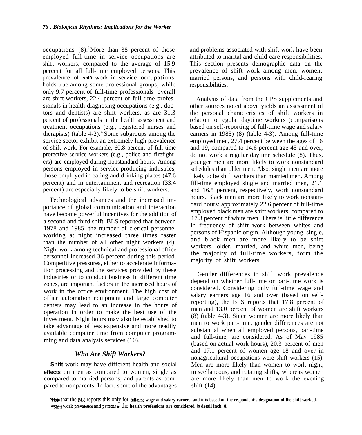occupations  $(8)$ . More than 38 percent of those employed full-time in service occupations are shift workers, compared to the average of 15.9 percent for all full-time employed persons. This prevalence of **shift** work in service occupations holds true among some professional groups; while only 9.7 percent of full-time professionals overall are shift workers, 22.4 percent of full-time professionals in health-diagnosing occupations (e.g., doctors and dentists) are shift workers, as are 31.3 percent of professionals in the health assessment and treatment occupations (e.g., registered nurses and therapists) (table 4-2).<sup>10</sup> Some subgroups among the service sector exhibit an extremely high prevalence of shift work. For example, 60.8 percent of full-time protective service workers (e.g., police and firefighters) are employed during nonstandard hours. Among persons employed in service-producing industries, those employed in eating and drinking places (47.6 percent) and in entertainment and recreation (33.4 percent) are especially likely to be shift workers.

Technological advances and the increased importance of global communication and interaction have become powerful incentives for the addition of a second and third shift. BLS reported that between 1978 and 1985, the number of clerical personnel working at night increased three times faster than the number of all other night workers (4). Night work among technical and professional office personnel increased 36 percent during this period. Competitive pressures, either to accelerate information processing and the services provided by these industries or to conduct business in different time zones, are important factors in the increased hours of work in the office environment. The high cost of office automation equipment and large computer centers may lead to an increase in the hours of operation in order to make the best use of the investment. Night hours may also be established to take advantage of less expensive and more readily available computer time from computer programming and data analysis services (10).

## *Who Are Shift Workers?*

**Shift** work may have different health and social **effects** on men as compared to women, single as compared to married persons, and parents as compared to nonparents. In fact, some of the advantages and problems associated with shift work have been attributed to marital and child-care responsibilities. This section presents demographic data on the prevalence of shift work among men, women, married persons, and persons with child-rearing responsibilities.

Analysis of data from the CPS supplements and other sources noted above yields an assessment of the personal characteristics of shift workers in relation to regular daytime workers (comparisons based on self-reporting of full-time wage and salary earners in 1985) (8) (table 4-3). Among full-time employed men, 27.4 percent between the ages of 16 and 19, compared to 14.6 percent age 45 and over, do not work a regular daytime schedule (8). Thus, younger men are more likely to work nonstandard schedules than older men. Also, single men are more likely to be shift workers than married men. Among fill-time employed single and married men, 21.1 and 16.5 percent, respectively, work nonstandard hours. Black men are more likely to work nonstandard hours: approximately 22.6 percent of full-time employed black men are shift workers, compared to 17.3 percent of white men. There is little difference in frequency of shift work between whites and persons of Hispanic origin. Although young, single, and black men are more likely to be shift workers, older, married, and white men, being the majority of full-time workers, form the majority of shift workers.

Gender differences in shift work prevalence depend on whether full-time or part-time work is considered. Considering only full-time wage and salary earners age 16 and over (based on selfreporting), the BLS reports that 17.8 percent of men and 13.0 percent of women are shift workers (8) (table 4-3). Since women are more likely than men to work part-time, gender differences are not substantial when all employed persons, part-time and full-time, are considered. As of May 1985 (based on actual work hours), 20.3 percent of men and 17.1 percent of women age 18 and over in nonagricultural occupations were shift workers (15). Men are more likely than women to work night, miscellaneous, and rotating shifts, whereas women are more likely than men to work the evening shift (14).

%Jote that the BLS reports this only for fnll-tirne **wage and salary earners, and it is based on the respondent's designation of the shift worked.** <sup>10</sup>Shift work prevalence and patterns in the health professions are considered in detail inch. 8.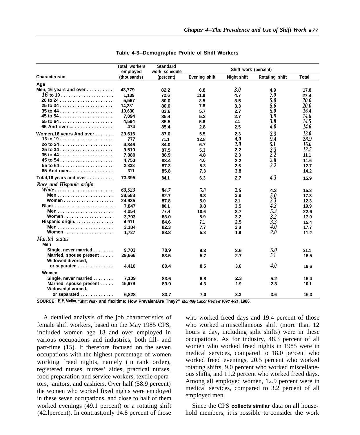|                                  | <b>Total workers</b><br>employed | <b>Standard</b><br>work schedule | Shift work (percent) |             |                |              |
|----------------------------------|----------------------------------|----------------------------------|----------------------|-------------|----------------|--------------|
| <b>Characteristic</b>            | (thousands)                      | (percent)                        | <b>Evening shift</b> | Night shift | Rotating shift | <b>Total</b> |
| Age                              |                                  |                                  |                      |             |                |              |
| Men, 16 years and over $\dots$ , | 43,779                           | 82.2                             | 6.8                  | 3.0         | 4.9            | 17.8         |
|                                  | 1,139                            | 72.6                             | 11.8                 | 4.7         | 7.0            | 27.4         |
|                                  | 5,567                            | 80.0                             | 8.5                  | 3.5         | 5.0            | <b>20.0</b>  |
|                                  | 14,281                           | 80.0                             | 7.8                  | 3.3         | 5.6            | <i>20.0</i>  |
|                                  | 10.630                           | 83.6                             | 5.7                  | 2.7         | 5.0            | 16.4         |
|                                  | 7.094                            | 85.4                             | 5.3                  | 2.7         | 3.9            | 14.6         |
|                                  | 4,594                            | 85.5                             | 5.6                  | 2.1         | 3.8            | 14.5         |
| 65 And over                      | 474                              | 85.4                             | 2.8                  | 2.5         | 4.0            | 14.6         |
| Women, 16 years And over         | 29.616                           | 87.0                             | 5.5                  | 2.3         | 3.3            | 13.0         |
|                                  | 777                              | 71.1                             | 12.8                 | 4.0         | 9.4            | 28.9         |
|                                  | 4,346                            | 84.0                             | 6.7                  | <b>2.0</b>  | 5.1            | 16.0         |
|                                  | 9,510                            | 87.5                             | 5.3                  | 2.2         | 3.3            | 12.5         |
|                                  | 7,080                            | 88.9                             | 4.8                  | 2.3         | 2.2            | 11.1         |
|                                  | 4,753                            | 88.4                             | 4.6                  | 2.2         | 2.8            | 11.6         |
|                                  | 2,838                            | 87.3                             | 5.3                  | 2.6         | 3.2            | 12.7         |
| 65 And over $\dots$              | 311                              | 85.8                             | 7.3                  | 3.8         |                | 14.2         |
| Total, 16 years and over         | 73,395                           | 84.1                             | 6.3                  | 2.7         | 4.3            | 15.9         |
| Race and Hispanic origin         |                                  |                                  |                      |             |                |              |
|                                  | 63,523                           | 84.7                             | 5.8                  | 2.6         | 4.3            | 15.3         |
|                                  | 38,588                           | 82.7                             | 6.3                  | 2.9         | 5.0            | 17.3         |
|                                  | 24,935                           | 87.8                             | 5.0                  | 2.1         | 3.3            | 12.3         |
|                                  | 7,847                            | 80.1                             | 9.8                  | 3.5         | 4.3            | 19.9         |
|                                  | 4,054                            | 77.4                             | 10.6                 | 3.7         | 5.3            | 22.6         |
|                                  | 3.793                            | 83.0                             | 8.9                  | 3.2         | 3.2            | 17.0         |
| Hispanic origin                  | 4,911                            | 84.6                             | 7.1                  | 2.5         | 3.3            | 15.4         |
|                                  | 3,184                            | 82.3                             | 7.7                  | 2.8         | 4.0            | 17.7         |
| Women                            | 1.727                            | 88.8                             | 5.8                  | 1.9         | 2.O            | 11.2         |
| Marital status                   |                                  |                                  |                      |             |                |              |
| Men                              |                                  |                                  |                      |             |                |              |
| Single, never married            | 9,703                            | 78.9                             | 9.3                  | 3.6         | 5.0            | 21.1         |
| Married, spouse present          | 29,666                           | 83.5                             | 5.7                  | 2.7         | 5.1            | 16.5         |
| Widowed, divorced,               |                                  |                                  |                      |             |                |              |
| or separated                     | 4,410                            | 80.4                             | 8.5                  | 3.6         | 4.0            | 19.6         |
| Women                            |                                  |                                  |                      |             |                |              |
| Single, never married            | 7,109                            | 83.6                             | 6.8                  | 2.3         | 5.2            | 16.4         |
| Married, spouse present          | 15,679                           | 89.9                             | 4.3                  | 1.9         | 2.3            | 10.1         |
| Widowed, divorced,               |                                  |                                  |                      |             |                |              |
| or separated                     | 6,828                            | 83.7                             | 7.0                  | 3.3         | 3.6            | 16.3         |

#### **Table 4-3--Demographic Profile of Shift Workers**

**SOURCE: E.F. MelloL ''ShiftWork and flexitime: How PrevalentAre They?'' hfonth/yLaborRetiewlO9fl4-2l ,1986.**

A detailed analysis of the job characteristics of female shift workers, based on the May 1985 CPS, included women age 18 and over employed in various occupations and industries, both fill- and part-time (15). It therefore focused on the seven occupations with the highest percentage of women working freed nights, namely (in rank order), registered nurses, nurses' aides, practical nurses, food preparation and service workers, textile operators, janitors, and cashiers. Over half (58.9 percent) the women who worked fixed nights were employed in these seven occupations, and close to half of them worked evenings (49.1 percent) or a rotating shift (42.lpercent). In contrast,only 14.8 percent of those

who worked freed days and 19.4 percent of those who worked a miscellaneous shift (more than 12 hours a day, including split shifts) were in these occupations. As for industry, 48.3 percent of all women who worked freed nights in 1985 were in medical services, compared to 18.0 percent who worked freed evenings, 20.5 percent who worked rotating shifts, 9.0 percent who worked miscellaneous shifts, and 11.2 percent who worked freed days. Among all employed women, 12.9 percent were in medical services, compared to 3.2 percent of all employed men.

Since the CPS **collects similar** data on all household members, it is possible to consider the work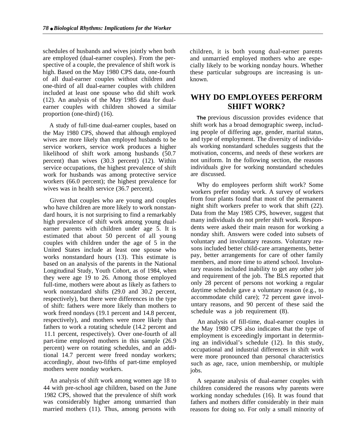schedules of husbands and wives jointly when both are employed (dual-earner couples). From the perspective of a couple, the prevalence of shift work is high. Based on the May 1980 CPS data, one-fourth of all dual-earner couples without children and one-third of all dual-earner couples with children included at least one spouse who did shift work (12). An analysis of the May 1985 data for dualearner couples with children showed a similar proportion (one-third) (16).

A study of full-time dual-earner couples, based on the May 1980 CPS, showed that although employed wives are more likely than employed husbands to be service workers, service work produces a higher likelihood of shift work among husbands (50.7 percent) than wives (30.3 percent) (12). Within service occupations, the highest prevalence of shift work for husbands was among protective service workers (66.0 percent); the highest prevalence for wives was in health service (36.7 percent).

Given that couples who are young and couples who have children are more likely to work nonstandard hours, it is not surprising to find a remarkably high prevalence of shift work among young dualearner parents with children under age 5. It is estimated that about 50 percent of all young couples with children under the age of 5 in the United States include at least one spouse who works nonstandard hours (13). This estimate is based on an analysis of the parents in the National Longitudinal Study, Youth Cohort, as of 1984, when they were age 19 to 26. Among those employed full-time, mothers were about as likely as fathers to work nonstandard shifts (29.0 and 30.2 percent, respectively), but there were differences in the type of shift: fathers were more likely than mothers to work freed nondays (19.1 percent and 14.8 percent, respectively), and mothers were more likely than fathers to work a rotating schedule (14.2 percent and 11.1 percent, respectively). Over one-fourth of all part-time employed mothers in this sample (26.9 percent) were on rotating schedules, and an additional 14.7 percent were freed nonday workers; accordingly, about two-fifths of part-time employed mothers were nonday workers.

An analysis of shift work among women age 18 to 44 with pre-school age children, based on the June 1982 CPS, showed that the prevalence of shift work was considerably higher among unmarried than married mothers (11). Thus, among persons with children, it is both young dual-earner parents and unmarried employed mothers who are especially likely to be working nonday hours. Whether these particular subgroups are increasing is unknown.

# **WHY DO EMPLOYEES PERFORM SHIFT WORK?**

**The** previous discussion provides evidence that shift work has a broad demographic sweep, including people of differing age, gender, marital status, and type of employment. The diversity of individuals working nonstandard schedules suggests that the motivation, concerns, and needs of these workers are not uniform. In the following section, the reasons individuals give for working nonstandard schedules are discussed.

Why do employees perform shift work? Some workers prefer nonday work. A survey of workers from four plants found that most of the permanent night shift workers prefer to work that shift (22). Data from the May 1985 CPS, however, suggest that many individuals do not prefer shift work. Respondents were asked their main reason for working a nonday shift. Answers were coded into subsets of voluntary and involuntary reasons. Voluntary reasons included better child-care arrangements, better pay, better arrangements for care of other family members, and more time to attend school. Involuntary reasons included inability to get any other job and requirement of the job. The BLS reported that only 28 percent of persons not working a regular daytime schedule gave a voluntary reason (e.g., to accommodate child care); 72 percent gave involuntary reasons, and 90 percent of these said the schedule was a job requirement (8).

An analysis of fill-time, dual-earner couples in the May 1980 CPS also indicates that the type of employment is exceedingly important in determining an individual's schedule (12). In this study, occupational and industrial differences in shift work were more pronounced than personal characteristics such as age, race, union membership, or multiple jobs.

A separate analysis of dual-earner couples with children considered the reasons why parents were working nonday schedules (16). It was found that fathers and mothers differ considerably in their main reasons for doing so. For only a small minority of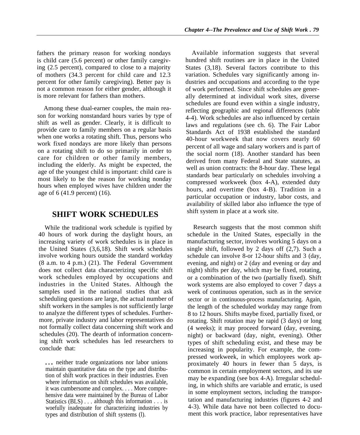fathers the primary reason for working nondays is child care (5.6 percent) or other family caregiving (2.5 percent), compared to close to a majority of mothers (34.3 percent for child care and 12.3 percent for other family caregiving). Better pay is not a common reason for either gender, although it is more relevant for fathers than mothers.

Among these dual-earner couples, the main reason for working nonstandard hours varies by type of shift as well as gender. Clearly, it is difficult to provide care to family members on a regular basis when one works a rotating shift. Thus, persons who work fixed nondays are more likely than persons on a rotating shift to do so primarily in order to care for children or other family members, including the elderly. As might be expected, the age of the youngest child is important: child care is most likely to be the reason for working nonday hours when employed wives have children under the age of 6 (41.9 percent) (16).

# **SHIFT WORK SCHEDULES**

While the traditional work schedule is typified by 40 hours of work during the daylight hours, an increasing variety of work schedules is in place in the United States (3,6,18). Shift work schedules involve working hours outside the standard workday (8 a.m. to 4 p.m.) (21). The Federal Government does not collect data characterizing specific shift work schedules employed by occupations and industries in the United States. Although the samples used in the national studies that ask scheduling questions are large, the actual number of shift workers in the samples is not sufficiently large to analyze the different types of schedules. Furthermore, private industry and labor representatives do not formally collect data concerning shift work and schedules (20). The dearth of information concerning shift work schedules has led researchers to conclude that:

. . . neither trade organizations nor labor unions maintain quantitative data on the type and distribution of shift work practices in their industries. Even where information on shift schedules was available, it was cumbersome and complex. . . . More comprehensive data were maintained by the Bureau of Labor Statistics (BLS) . . . although this information . . . is woefully inadequate for characterizing industries by types and distribution of shift systems (l).

Available information suggests that several hundred shift routines are in place in the United States (3,18). Several factors contribute to this variation. Schedules vary significantly among industries and occupations and according to the type of work performed. Since shift schedules are generally determined at individual work sites, diverse schedules are found even within a single industry, reflecting geographic and regional differences (table 4-4). Work schedules are also influenced by certain laws and regulations (see ch. 6). The Fair Labor Standards Act of 1938 established the standard 40-hour workweek that now covers nearly 60 percent of all wage and salary workers and is part of the social norm (18). Another standard has been derived from many Federal and State statutes, as well as union contracts: the 8-hour day. These legal standards bear particularly on schedules involving a compressed workweek (box 4-A), extended duty hours, and overtime (box 4-B). Tradition in a particular occupation or industry, labor costs, and availability of skilled labor also influence the type of shift system in place at a work site.

Research suggests that the most common shift schedule in the United States, especially in the manufacturing sector, involves working 5 days on a single shift, followed by 2 days off (2,7). Such a schedule can involve 8-or 12-hour shifts and 3 (day, evening, and night) or 2 (day and evening or day and night) shifts per day, which may be fixed, rotating, or a combination of the two (partially fixed). Shift work systems are also employed to cover 7 days a week of continuous operation, such as in the service sector or in continuous-process manufacturing. Again, the length of the scheduled workday may range from 8 to 12 hours. Shifts maybe fixed, partially fixed, or rotating. Shift rotation may be rapid (3 days) or long (4 weeks); it may proceed forward (day, evening, night) or backward (day, night, evening). Other types of shift scheduling exist, and these may be increasing in popularity. For example, the compressed workweek, in which employees work approximately 40 hours in fewer than 5 days, is common in certain employment sectors, and its use may be expanding (see box 4-A). Irregular scheduling, in which shifts are variable and erratic, is used in some employment sectors, including the transportation and manufacturing industries (figures 4-2 and 4-3). While data have not been collected to document this work practice, labor representatives have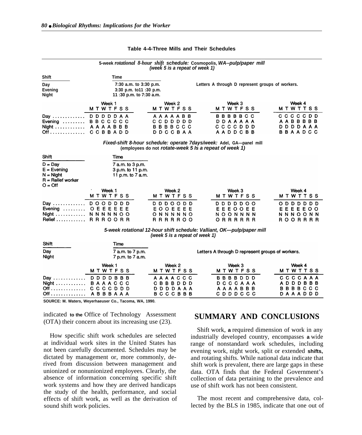|                                                                                |                                                                              | (week 5 is a repeat of week 1)                                | 5-week rotational 8-hour shift schedule: Cosmopolis, WA--pulp/paper mill             |                                                                  |
|--------------------------------------------------------------------------------|------------------------------------------------------------------------------|---------------------------------------------------------------|--------------------------------------------------------------------------------------|------------------------------------------------------------------|
| <b>Shift</b>                                                                   | Time                                                                         |                                                               |                                                                                      |                                                                  |
| Day<br><b>Evening</b><br><b>Night</b>                                          | 7:30 a.m. to 3:30 p.m.<br>3:30 p.m. to11 :30 p.m.<br>11:30 p.m. to 7:30 a.m. |                                                               | Letters A through D represent groups of workers.                                     |                                                                  |
|                                                                                | Week 1<br><b>MTWTFSS</b>                                                     | Week 2<br><b>MTWTFSS</b>                                      | Week 3<br><b>MTWTFSS</b>                                                             | Week 4<br><b>MTWTTSS</b>                                         |
| Day<br>Evening<br>Night $\ldots \ldots \ldots$<br>Off                          | <b>DDDDDAA</b><br><b>BBCCCCC</b><br>AAAABBB<br>CCBBADD                       | <b>AAAAABB</b><br>CCDDDDD<br><b>BBBBCCC</b><br><b>DDCCBAA</b> | <b>BBBBBCC</b><br>DDAAAAA<br>CCCCD<br>D D<br>AADDCBB                                 | C C C C D D<br>AABBBBB<br><b>DDDAAA</b><br>D<br><b>BBAADCC</b>   |
| Shift                                                                          | Time                                                                         | (employees do not rotate-week 5 ls a repeat of week 1)        | Fixed-shift 8-hour schedule: operate 7days/week: Adel, GA—panel mill                 |                                                                  |
| $D = Day$<br>$E = E$ vening<br>$N =$ Night<br>$R =$ Relief worker<br>$O = Off$ | 7 a.m. to 3 p.m.<br>3 p.m. to 11 p.m.<br>11 p.m. to 7 a.m.                   |                                                               |                                                                                      |                                                                  |
|                                                                                | Week 1<br><b>MTWTFSS</b>                                                     | Week 2<br><b>MTWTFSS</b>                                      | Week 3<br><b>MTWTFSS</b>                                                             | Week 4<br><b>MTWTTSS</b>                                         |
| Day<br>Evening $\dots\dots\dots$<br>Night $\dots\dots\dots\dots$<br>Relief     | D O<br>OD.<br>D D<br>D<br>OEEEEEE<br><b>NNNNNOO</b><br><b>RRROORR</b>        | <b>D D D O O D D</b><br>EOOEEEE<br>ONNNNNO<br><b>RRRRROO</b>  | ם ם ם ם ם<br>$\circ$ $\circ$<br>EEOOEE<br>Е<br><b>NOONNNN</b><br><b>RRRRRR</b><br>O. | D D<br>0 D D D<br>EEEEOO<br>Е<br><b>NNNOONN</b><br>R O O R R R R |

#### **Table 4-4-Three Mills and Their Schedules**

**5-week rotational 12-hour shift schedule: Valliant, OK—pulp/paper mill (week 5 is a repeat of week 1)**

| Shift                 | Time                                 |                                                  |                |                |
|-----------------------|--------------------------------------|--------------------------------------------------|----------------|----------------|
| Day<br>Night          | 7 a.m. to 7 p.m.<br>7 p.m. to 7 a.m. | Letters A through D represent groups of workers. |                |                |
|                       | Week 1                               | Week 2                                           | Week 3         | Week 4         |
|                       | <b>MTWTFSS</b>                       | <b>MTWTFSS</b>                                   | <b>MTWTFSS</b> | <b>MTWTTSS</b> |
| Day  D D D D B B B    |                                      | AAAACCC                                          | <b>BBBBDDD</b> | CCCCAAA        |
| Night $B$ A A A C C C |                                      | <b>CBBBDDD</b>                                   | DCCCAAA        | A D D D B B B  |
| Off CCCCDDD           |                                      | D D D D A A A                                    | AAAABBB        | <b>BBBBCCC</b> |
| Off A B B B A A A     |                                      | <b>BCCCBBB</b>                                   | <b>CDDDCCC</b> | <b>DAAADDD</b> |

**SOURCE: M. Waters, Weyerhaeuser Co., Tacoma, WA, 1990.**

indicated **to the** Office of Technology Assessment (OTA) their concern about its increasing use (23).

How specific shift work schedules are selected at individual work sites in the United States has not been carefully documented. Schedules may be dictated by management or, more commonly, derived from discussion between management and unionized or nonunionized employees. Clearly, the absence of information concerning specific shift work systems and how they are derived handicaps the study of the health, performance, and social effects of shift work, as well as the derivation of sound shift work policies.

# **SUMMARY AND CONCLUSIONS**

Shift work, **a** required dimension of work in any industrially developed country, encompasses **a** wide range of nonstandard work schedules, including evening work, night work, split or extended **shifts,** and rotating shifts. While national data indicate that shift work is prevalent, there are large gaps in these data. OTA finds that the Federal Government's collection of data pertaining to the prevalence and use of shift work has not been consistent.

The most recent and comprehensive data, collected by the BLS in 1985, indicate that one out of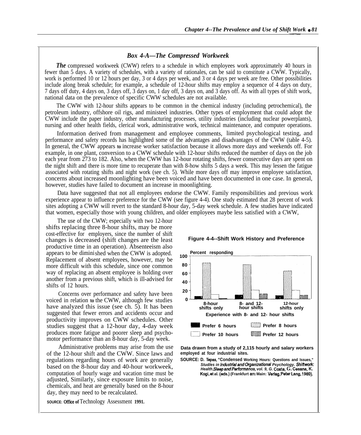## *Box 4-A—The Compressed Workweek*

*The* compressed workweek (CWW) refers to a schedule in which employees work approximately 40 hours in fewer than 5 days. A variety of schedules, with a variety of rationales, can be said to constitute a CWW. Typically, work is performed 10 or 12 hours per day, 3 or 4 days per week, and 3 or 4 days per week are free. Other possibilities include along break schedule; for example, a schedule of 12-hour shifts may employ a sequence of 4 days on duty, 7 days off duty, 4 days on, 3 days off, 3 days on, 1 day off, 3 days on, and 3 days off. As with all types of shift work, national data on the prevalence of specific CWW schedules are not available.

The CWW with 12-hour shifts appears to be common in the chemical industry (including petrochemical), the petroleum industry, offshore oil rigs, and ministeel industries. Other types of employment that could adopt the CWW include the paper industry, other manufacturing processes, utility industries (including nuclear powerplants), nursing and other health fields, clerical work, administrative work, technical maintenance, and computer operations.

Information derived from management and employee comments, limited psychological testing, and performance and safety records has highlighted some of the advantages and disadvantages of the CWW (table 4-5). In general, the CWW appears **to** increase worker satisfaction because it allows more days and weekends off. For example, in one plant, conversion to a CWW schedule with 12-hour shifts reduced the number of days on the job each year from 273 to 182. Also, when the CWW has 12-hour rotating shifts, fewer consecutive days are spent on the night shift and there is more time to recuperate than with 8-how shifts 5 days a week. This may lessen the fatigue associated with rotating shifts and night work (see ch. 5). While more days off may improve employee satisfaction, concerns about increased moonlighting have been voiced and have been documented in one case. In general, however, studies have failed to document an increase in moonlighting.

Data have suggested that not all employees endorse the CWW. Family responsibilities and previous work experience appear to influence preference for the CWW (see figure 4-4). One study estimated that 28 percent of work sites adopting a CWW will revert to the standard 8-hour day, 5-day week schedule. A few studies have indicated that women, especially those with young children, and older employees maybe less satisfied with a CWW,

The use of the CWW; especially with two 12-hour shifts replacing three 8-hour shifts, may be more cost-effective for employers, since the number of shift changes is decreased (shift changes are the least productive time in an operation). Absenteeism also appears to be diminished when the CWW is adopted. Replacement of absent employees, however, may be more difficult with this schedule, since one common way of replacing an absent employee is holding over another from a previous shift, which is ill-advised for shifts of 12 hours.

Concerns over performance and safety have been voiced in relation **to** the CWW, although few studies have analyzed this issue (see ch. 5). It has been suggested that fewer errors and accidents occur and productivity improves on CWW schedules. Other studies suggest that a 12-hour day, 4-day week produces more fatigue and poorer sleep and psychomotor performance than an 8-hour day, 5-day week.

Administrative problems may arise from the use of the 12-hour shift and the CWW. Since laws and regulations regarding hours of work are generally based on the 8-hour day and 40-hour workweek, computation of hourly wage and vacation time must be adjusted, Similarly, since exposure limits to noise, chemicals, and heat are generally based on the 8-hour day, they may need to be recalculated.

**Percent responding 100 80 60 40 20 0 8-hour 8- and 12- 12-hour shifts only hour shifts shifts only Experience with 8- and 12- hour shifts = Prefer 6 hours ~ Prefer 8 hours ~~ Prefer 10 hours m Prefer 12 hours**

#### **Figure 4-4--Shift Work History and Preference**

**Data drawn from a study of 2,115 hourly and salary workers employed at four industrial sites.**

**SOURCE: D. Tepas, "Condensed Working Hours: Questions and Issues,"** Stud/es in Industrial and Organizational Psychology. Shiftwork: **Healthf S/eepandPerformanca, vol. 9, G. Costa, G. Cesana, K. Kogi,et al. (eds.) (Frankfurt am Main: Verlag, Peter Lang, 1989).**



**SOURCE: Office of Technology Assessment 1991.**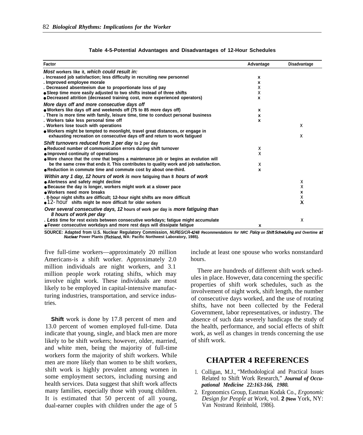| Factor                                                                                                    | Advantage | <b>Disadvantage</b> |
|-----------------------------------------------------------------------------------------------------------|-----------|---------------------|
| Most workers like it, which could result in:                                                              |           |                     |
| . Increased job satisfaction; less difficulty in recruiting new personnel                                 | x         |                     |
| . Improved employee morale                                                                                | x         |                     |
| . Decreased absenteeism due to proportionate loss of pay                                                  | Χ         |                     |
| • Sleep time more easily adjusted to two shifts instead of three shifts                                   | Χ         |                     |
| • Decreased attrition (decreased training cost, more experienced operators)                               | X         |                     |
| More days off and more consecutive days off                                                               |           |                     |
| • Workers like days off and weekends off (75 to 85 more days off)                                         | x         |                     |
| . There is more time with family, leisure time, time to conduct personal business                         | x         |                     |
| . Workers take less personal time off                                                                     | X         |                     |
| . Workers lose touch with operations                                                                      |           | $\times$            |
| • Workers might be tempted to moonlight, travel great distances, or engage in                             |           |                     |
| exhausting recreation on consecutive days off and return to work fatigued                                 |           | X                   |
| Shift turnovers reduced from 3 per day to 2 per day                                                       |           |                     |
| • Reduced number of communication errors during shift turnover                                            | Χ         |                     |
| • Improved continuity of operations                                                                       | X         |                     |
| • More chance that the crew that begins a maintenance job or begins an evolution will                     |           |                     |
| be the same crew that ends it. This contributes to quality work and job satisfaction.                     | X         |                     |
| • Reduction in commute time and commute cost by about one-third.                                          | X         |                     |
| Within any 1 day, 12 hours of work is more fatiguing than 8 hours of work                                 |           |                     |
| • Alertness and safety might decline                                                                      |           | Χ                   |
| • Because the day is longer, workers might work at a slower pace                                          |           | X                   |
| • Workers need more breaks                                                                                |           | X                   |
| . 8-hour night shifts are difficult; 12-hour night shifts are more difficult                              |           | X                   |
| $\bullet$ 12-hour shifts might be more difficult for older workers                                        |           | X                   |
| Over several consecutive days, 12 hours of work per day is more fatiguing than<br>8 hours of work per day |           |                     |
| . Less time for rest exists between consecutive workdays; fatique might accumulate                        |           | X                   |
| • Fewer consecutive workdays and more rest days will dissipate fatigue                                    | x         |                     |

| Table 4-5-Potential Advantages and Disadvantages of 12-Hour Schedules |  |  |  |  |  |
|-----------------------------------------------------------------------|--|--|--|--|--|
|-----------------------------------------------------------------------|--|--|--|--|--|

**SOURCE: Adapted from U.S. Nuclear Regulatory Commission, IWJREG/Ci?-4248 Recommendations for NRC Po/icy on Shift Schecfu/ing and Overtime at Nuc/ear Power Plants (Richland, WA: Pacific Northwest Laboratory, 1985).**

five full-time workers—approximately 20 million Americans-is a shift worker. Approximately 2.0 million individuals are night workers, and 3.1 million people work rotating shifts, which may involve night work. These individuals are most likely to be employed in capital-intensive manufacturing industries, transportation, and service industries.

**Shift** work is done by 17.8 percent of men and 13.0 percent of women employed full-time. Data indicate that young, single, and black men are more likely to be shift workers; however, older, married, and white men, being the majority of full-time workers form the majority of shift workers. While men are more likely than women to be shift workers, shift work is highly prevalent among women in some employment sectors, including nursing and health services. Data suggest that shift work affects many families, especially those with young children. It is estimated that 50 percent of all young, dual-earner couples with children under the age of 5

include at least one spouse who works nonstandard hours.

There are hundreds of different shift work schedules in place. However, data concerning the specific properties of shift work schedules, such as the involvement of night work, shift length, the number of consecutive days worked, and the use of rotating shifts, have not been collected by the Federal Government, labor representatives, or industry. The absence of such data severely handicaps the study of the health, performance, and social effects of shift work, as well as changes in trends concerning the use of shift work.

# **CHAPTER 4 REFERENCES**

- 1. Colligan, M.J., "Methodological and Practical Issues Related to Shift Work Research," *Journal of Occupational Medicine 22:163-166, 1980.*
- 2. Ergonomics Group, Eastman Kodak Co., *Ergonomic Design for People at Work,* vol. **2 (New** York, NY: Van Nostrand Reinhold, 1986).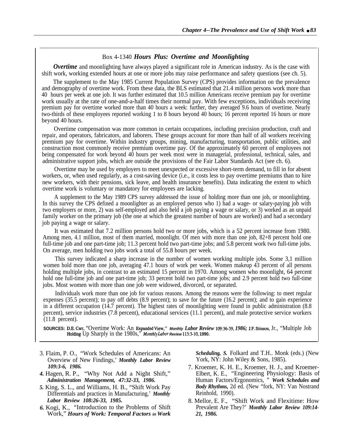## Box 4-1340 *Hours Plus: Overtime and Moonlighting*

*Overtime* and moonlighting have always played a significant role in American industry. As is the case with shift work, working extended hours at one or more jobs may raise performance and safety questions (see ch. 5).

The supplement to the May 1985 Current Population Survey (CPS) provides information on the prevalence and demography of overtime work. From these data, the BLS estimated that 21.4 million persons work more than 40 hours per week at one job. It was further estimated that 10.5 million Americans receive premium pay for overtime work usually at the rate of one-and-a-half times their normal pay. With few exceptions, individuals receiving premium pay for overtime worked more than 40 hours a week: further, they averaged 9.6 hours of overtime. Nearly two-thirds of these employees reported working 1 to 8 hours beyond 40 hours; 16 percent reported 16 hours or more beyond 40 hours.

Overtime compensation was more common in certain occupations, including precision production, craft and repair, and operators, fabricators, and laborers. These groups account for more than half of all workers receiving premium pay for overtime. Within industry groups, mining, manufacturing, transportation, public utilities, and construction most commonly receive premium overtime pay. Of the approximately 60 percent of employees not being compensated for work beyond 40 hours per week most were in managerial, professional, technical, sales, and administrative support jobs, which are outside the provisions of the Fair Labor Standards Act (see ch. 6).

Overtime may be used by employers to meet unexpected or excessive short-term demand, to fill in for absent workers, or, when used regularly, as a cost-saving device (i.e., it costs less to pay overtime premiums than to hire new workers, with their pensions, sick leave, and health insurance benefits). Data indicating the extent to which overtime work is voluntary or mandatory for employees are lacking.

A supplement to the May 1989 CPS survey addressed the issue of holding more than one job, or moonlighting. In this survey the CPS defined a moonlighter as an employed person who 1) had a wage- or salary-paying job with two employers or more, 2) was self-employed and also held a job paying a wage or salary, or 3) worked as an unpaid family worker on the primary job (the one at which the greatest number of hours are worked) and had a secondary job paying a wage or salary.

It was estimated that 7.2 million persons hold two or more jobs, which is a 52 percent increase from 1980. Among men, 4.1 million, most of them married, moonlight. Of men with more than one job, 82+8 percent hold one full-time job and one part-time job; 11.3 percent hold two part-time jobs; and 5.8 percent work two full-time jobs. On average, men holding two jobs work a total of 55.8 hours per week.

This survey indicated a sharp increase in the number of women working multiple jobs. Some 3,1 million women hold more than one job, averaging 47.1 hours of work per week. Women makeup 43 percent of all persons holding multiple jobs, in contrast to an estimated 15 percent in 1970. Among women who moonlight, 64 percent hold one full-time job and one part-time job; 33 percent hold two part-time jobs; and 2.9 percent hold two full-time jobs. Most women with more than one job were widowed, divorced, or separated.

Individuals work more than one job for various reasons. Among the reasons were the following: to meet regular expenses (35.5 percent); to pay off debts (8.9 percent); to save for the future (16.2 percent); and to gain experience in a different occupation (14.7 percent). The highest rates of moonlighting were found in public administration (8.8 percent), service industries (7.8 percent), educational services (11.1 percent), and male protective service workers (11.8 percent).

**SOURCES:** D.E. Carr, "Overtime Work: An Expaded View," **Monthly** *Labor Review 109:36-39, 1986;* J.F. Stinsoq Jr., "Multiple Job Holding Up Sharply in the 1980s," Monthly Labor Review 113:3-10, 1990.

- Overview of New Findings,' *Monthly Labor Review 109:3-6, 1986.*
- *4.* Hagen, R. P., "Why Not Add a Night Shift," *Administration Management, 47:32-33, 1986.*
- *5.* King, S. L., and Williams, H. B., "Shift Work Pay Differentials and practices in Manufacturing,' *Monthly Labor Review 108:26-33, 1985.*
- *6.* Kogi, K., "Introduction to the Problems of Shift Work," *Hours of Work: Temporal Factors* **in** *Work*

3. Flaim, P. O., "Work Schedules of Americans: An *Scheduling, S.* Folkard and T.H.. Monk (eds.) (New York, NY: John Wiley & Sons, 1985).

- 7. Kroemer, K. H. E., Kroemer, H. J., and Kroemer-Elbert, K. E., "Engineering Physiology: Basis of Human Factors/Ergonomics, " *Work Schedules and Body Rhythms,* 2d ed. (New "fork, NY: Van Nostrand Reinhold, 1990).
- 8. Mellor, E. F., "Shift Work and Flexitime: How Prevalent Are They?' *Monthly Labor Review 109:14- 21, 1986.*